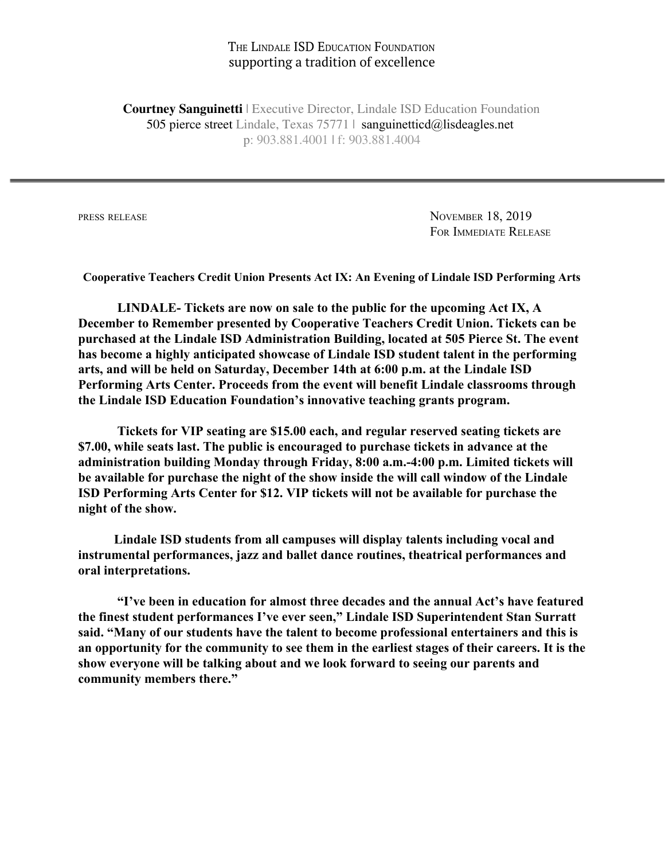## THE LINDALE ISD EDUCATION FOUNDATION supporting a tradition of excellence

**Courtney Sanguinetti** | Executive Director, Lindale ISD Education Foundation 505 pierce street Lindale, Texas 75771 | sanguinetticd@lisdeagles.net p: 903.881.4001 | f: 903.881.4004

PRESS RELEASE NOVEMBER 18, 2019 FOR IMMEDIATE RELEASE

**Cooperative Teachers Credit Union Presents Act IX: An Evening of Lindale ISD Performing Arts**

**LINDALE- Tickets are now on sale to the public for the upcoming Act IX, A December to Remember presented by Cooperative Teachers Credit Union. Tickets can be purchased at the Lindale ISD Administration Building, located at 505 Pierce St. The event has become a highly anticipated showcase of Lindale ISD student talent in the performing arts, and will be held on Saturday, December 14th at 6:00 p.m. at the Lindale ISD Performing Arts Center. Proceeds from the event will benefit Lindale classrooms through the Lindale ISD Education Foundation's innovative teaching grants program.**

**Tickets for VIP seating are \$15.00 each, and regular reserved seating tickets are \$7.00, while seats last. The public is encouraged to purchase tickets in advance at the administration building Monday through Friday, 8:00 a.m.-4:00 p.m. Limited tickets will be available for purchase the night of the show inside the will call window of the Lindale ISD Performing Arts Center for \$12. VIP tickets will not be available for purchase the night of the show.**

 **Lindale ISD students from all campuses will display talents including vocal and instrumental performances, jazz and ballet dance routines, theatrical performances and oral interpretations.**

**"I've been in education for almost three decades and the annual Act's have featured the finest student performances I've ever seen," Lindale ISD Superintendent Stan Surratt said. "Many of our students have the talent to become professional entertainers and this is an opportunity for the community to see them in the earliest stages of their careers. It is the show everyone will be talking about and we look forward to seeing our parents and community members there."**